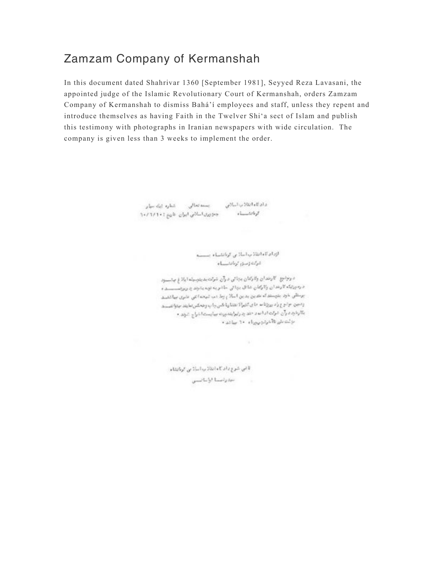## Zamzam Company of Kermanshah

In this document dated Shahrivar 1360 [September 1981], Seyyed Reza Lavasani, the appointed judge of the Islamic Revolutionary Court of Kermanshah, orders Zamzam Company of Kermanshah to dismiss Bahá'í employees and staff, unless they repent and introduce themselves as having Faith in the Twelver Shi'a sect of Islam and publish this testimony with photographs in Iranian newspapers with wide circulation. The company is given less than 3 weeks to implement the order.

> واولاءاتلانياسلاني بسمعتمالي شطره ثبك سأر جخورى اسلاس ايران خانهم : ١٠/٦/١٠

slumbshift.

الإدامة الفلاب اسلامي كوانشياء سيسم  $+1$  -  $+1$   $+1$   $+1$   $+1$   $+1$   $+1$ 

د روابع کارندان والرکنان بجائی درآن شرکت بدینوسیله ایلا از باسسود د رە ورتيكه كارخدان زكاركتان شاق بېتانى حاضر په تونه پشوند چاربونسىسىد ه پرستانی با وی بتوستی که عدین بدین اسلام ویا، دب تبهت اعلی عثوی بیا تشک ودجن جاجع راد روزنا سحاى تتبرأة نفتا وباخس باب وهكس تناييد جنوانفسيد بكارخيره وآن شركت ادامه دخد بدرابرايندورت بيابست اخراج شؤد. • الإشتاش فالمردون وراء ٢٠ ساعد

u.

قاص شوع داد كا مادنان ب اساناس كرنادشاء